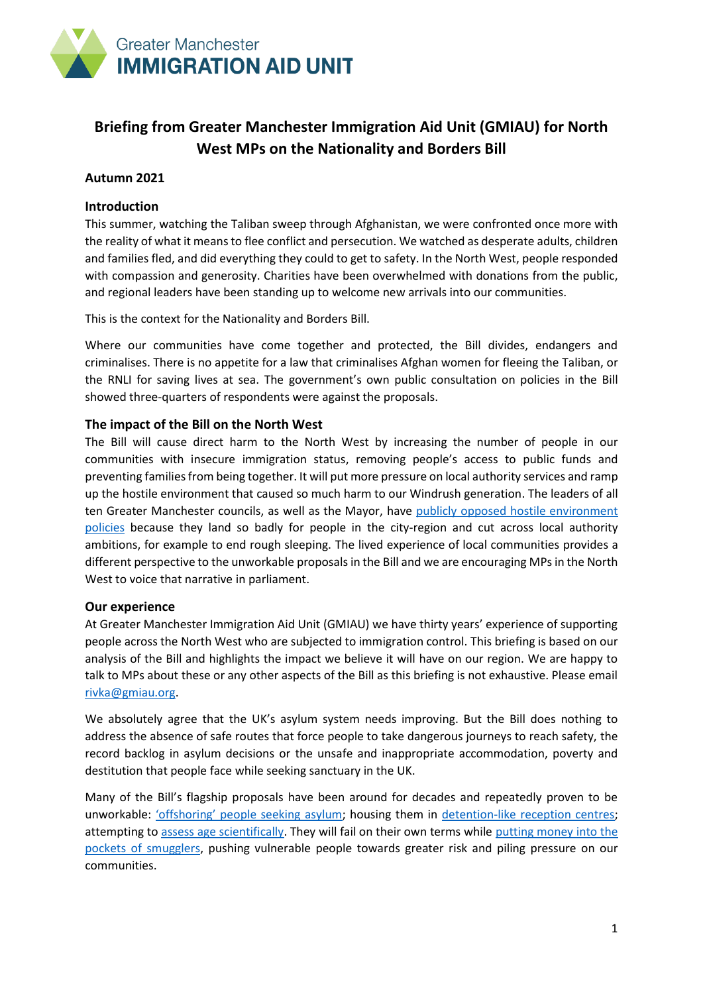

# **Briefing from Greater Manchester Immigration Aid Unit (GMIAU) for North West MPs on the Nationality and Borders Bill**

# **Autumn 2021**

# **Introduction**

This summer, watching the Taliban sweep through Afghanistan, we were confronted once more with the reality of what it means to flee conflict and persecution. We watched as desperate adults, children and families fled, and did everything they could to get to safety. In the North West, people responded with compassion and generosity. Charities have been overwhelmed with donations from the public, and regional leaders have been standing up to welcome new arrivals into our communities.

This is the context for the Nationality and Borders Bill.

Where our communities have come together and protected, the Bill divides, endangers and criminalises. There is no appetite for a law that criminalises Afghan women for fleeing the Taliban, or the RNLI for saving lives at sea. The government's own public consultation on policies in the Bill showed three-quarters of respondents were against the proposals.

# **The impact of the Bill on the North West**

The Bill will cause direct harm to the North West by increasing the number of people in our communities with insecure immigration status, removing people's access to public funds and preventing families from being together. It will put more pressure on local authority services and ramp up the hostile environment that caused so much harm to our Windrush generation. The leaders of all ten Greater Manchester councils, as well as the Mayor, have publicly opposed [hostile environment](https://greatermanchester-ca.gov.uk/news/greater-manchester-leaders-open-statement-to-the-home-office-on-asylum-seeker-evictions-policy/)  [policies](https://greatermanchester-ca.gov.uk/news/greater-manchester-leaders-open-statement-to-the-home-office-on-asylum-seeker-evictions-policy/) because they land so badly for people in the city-region and cut across local authority ambitions, for example to end rough sleeping. The lived experience of local communities provides a different perspective to the unworkable proposals in the Bill and we are encouraging MPs in the North West to voice that narrative in parliament.

### **Our experience**

At Greater Manchester Immigration Aid Unit (GMIAU) we have thirty years' experience of supporting people across the North West who are subjected to immigration control. This briefing is based on our analysis of the Bill and highlights the impact we believe it will have on our region. We are happy to talk to MPs about these or any other aspects of the Bill as this briefing is not exhaustive. Please email [rivka@gmiau.org.](mailto:rivka@gmiau.org)

We absolutely agree that the UK's asylum system needs improving. But the Bill does nothing to address the absence of safe routes that force people to take dangerous journeys to reach safety, the record backlog in asylum decisions or the unsafe and inappropriate accommodation, poverty and destitution that people face while seeking sanctuary in the UK.

Many of the Bill's flagship proposals have been around for decades and repeatedly proven to be unworkable: ['offshoring' people seeking asylum](https://www.theguardian.com/australia-news/2021/mar/22/as-uk-considers-offshore-asylum-plan-why-australias-system-was-a-dangerous-failure); housing them in [detention-like reception centres;](https://www.bbc.co.uk/news/uk-england-kent-57335499) attempting to [assess age scientifically.](https://www.communitycare.co.uk/2021/03/26/deeply-worrying-age-assessment-changes-will-increase-risks-to-child-asylum-seekers-warn-charities/) They will fail on their own terms while putting money into the [pockets of smugglers,](https://www.theguardian.com/global-development/2021/may/10/calais-smuggler-gangs-channel-migrants-uk-security) pushing vulnerable people towards greater risk and piling pressure on our communities.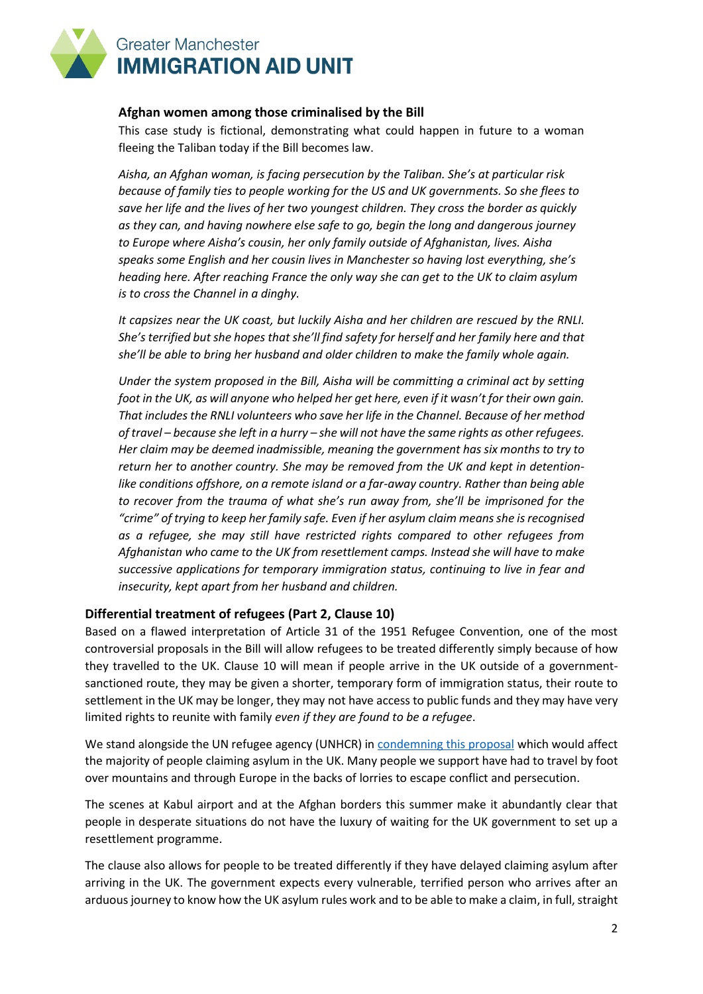

# **Afghan women among those criminalised by the Bill**

This case study is fictional, demonstrating what could happen in future to a woman fleeing the Taliban today if the Bill becomes law.

*Aisha, an Afghan woman, is facing persecution by the Taliban. She's at particular risk because of family ties to people working for the US and UK governments. So she flees to save her life and the lives of her two youngest children. They cross the border as quickly as they can, and having nowhere else safe to go, begin the long and dangerous journey to Europe where Aisha's cousin, her only family outside of Afghanistan, lives. Aisha speaks some English and her cousin lives in Manchester so having lost everything, she's heading here. After reaching France the only way she can get to the UK to claim asylum is to cross the Channel in a dinghy.*

*It capsizes near the UK coast, but luckily Aisha and her children are rescued by the RNLI. She's terrified but she hopes that she'll find safety for herself and her family here and that she'll be able to bring her husband and older children to make the family whole again.*

*Under the system proposed in the Bill, Aisha will be committing a criminal act by setting foot in the UK, as will anyone who helped her get here, even if it wasn't for their own gain. That includes the RNLI volunteers who save her life in the Channel. Because of her method of travel – because she left in a hurry – she will not have the same rights as other refugees. Her claim may be deemed inadmissible, meaning the government has six months to try to return her to another country. She may be removed from the UK and kept in detentionlike conditions offshore, on a remote island or a far-away country. Rather than being able to recover from the trauma of what she's run away from, she'll be imprisoned for the "crime" of trying to keep her family safe. Even if her asylum claim means she is recognised as a refugee, she may still have restricted rights compared to other refugees from Afghanistan who came to the UK from resettlement camps. Instead she will have to make successive applications for temporary immigration status, continuing to live in fear and insecurity, kept apart from her husband and children.*

# **Differential treatment of refugees (Part 2, Clause 10)**

Based on a flawed interpretation of Article 31 of the 1951 Refugee Convention, one of the most controversial proposals in the Bill will allow refugees to be treated differently simply because of how they travelled to the UK. Clause 10 will mean if people arrive in the UK outside of a governmentsanctioned route, they may be given a shorter, temporary form of immigration status, their route to settlement in the UK may be longer, they may not have access to public funds and they may have very limited rights to reunite with family *even if they are found to be a refugee*.

We stand alongside the UN refugee agency (UNHCR) in [condemning this proposal](https://www.unhcr.org/uk/news/press/2021/5/6097bce14/unhcr-deeply-concerned-at-discriminatory-two-tier-uk-asylum-plans-urges.html) which would affect the majority of people claiming asylum in the UK. Many people we support have had to travel by foot over mountains and through Europe in the backs of lorries to escape conflict and persecution.

The scenes at Kabul airport and at the Afghan borders this summer make it abundantly clear that people in desperate situations do not have the luxury of waiting for the UK government to set up a resettlement programme.

The clause also allows for people to be treated differently if they have delayed claiming asylum after arriving in the UK. The government expects every vulnerable, terrified person who arrives after an arduous journey to know how the UK asylum rules work and to be able to make a claim, in full, straight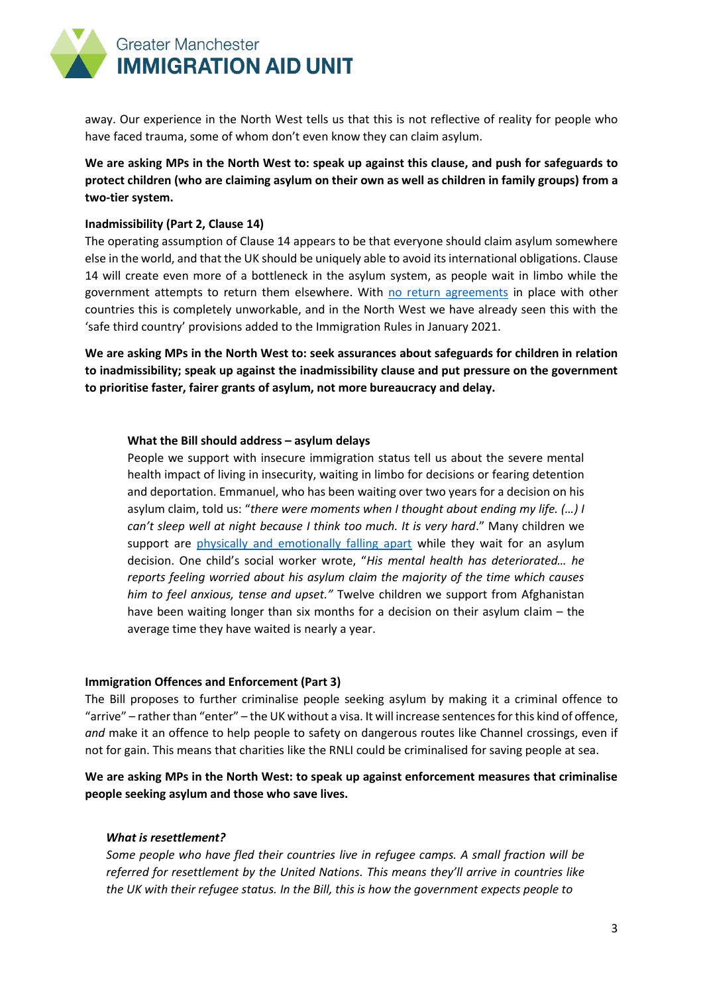

away. Our experience in the North West tells us that this is not reflective of reality for people who have faced trauma, some of whom don't even know they can claim asylum.

**We are asking MPs in the North West to: speak up against this clause, and push for safeguards to protect children (who are claiming asylum on their own as well as children in family groups) from a two-tier system.** 

### **Inadmissibility (Part 2, Clause 14)**

The operating assumption of Clause 14 appears to be that everyone should claim asylum somewhere else in the world, and that the UK should be uniquely able to avoid its international obligations. Clause 14 will create even more of a bottleneck in the asylum system, as people wait in limbo while the government attempts to return them elsewhere. With [no return agreements](https://twitter.com/ColinYeo1/status/1337069616078721025) in place with other countries this is completely unworkable, and in the North West we have already seen this with the 'safe third country' provisions added to the Immigration Rules in January 2021.

**We are asking MPs in the North West to: seek assurances about safeguards for children in relation to inadmissibility; speak up against the inadmissibility clause and put pressure on the government to prioritise faster, fairer grants of asylum, not more bureaucracy and delay.**

#### **What the Bill should address – asylum delays**

People we support with insecure immigration status tell us about the severe mental health impact of living in insecurity, waiting in limbo for decisions or fearing detention and deportation. Emmanuel, who has been waiting over two years for a decision on his asylum claim, told us: "*there were moments when I thought about ending my life. (…) I can't sleep well at night because I think too much. It is very hard*." Many children we support are [physically and emotionally falling apart](https://gmiau.org/new-report-wasted-childhoods-the-impact-of-covid-19-asylum-delays-on-children/) while they wait for an asylum decision. One child's social worker wrote, "*His mental health has deteriorated… he reports feeling worried about his asylum claim the majority of the time which causes him to feel anxious, tense and upset."* Twelve children we support from Afghanistan have been waiting longer than six months for a decision on their asylum claim – the average time they have waited is nearly a year.

#### **Immigration Offences and Enforcement (Part 3)**

The Bill proposes to further criminalise people seeking asylum by making it a criminal offence to "arrive" – rather than "enter" – the UK without a visa. It will increase sentences for this kind of offence, *and* make it an offence to help people to safety on dangerous routes like Channel crossings, even if not for gain. This means that charities like the RNLI could be criminalised for saving people at sea.

### **We are asking MPs in the North West: to speak up against enforcement measures that criminalise people seeking asylum and those who save lives.**

#### *What is resettlement?*

*Some people who have fled their countries live in refugee camps. A small fraction will be referred for resettlement by the United Nations. This means they'll arrive in countries like the UK with their refugee status. In the Bill, this is how the government expects people to*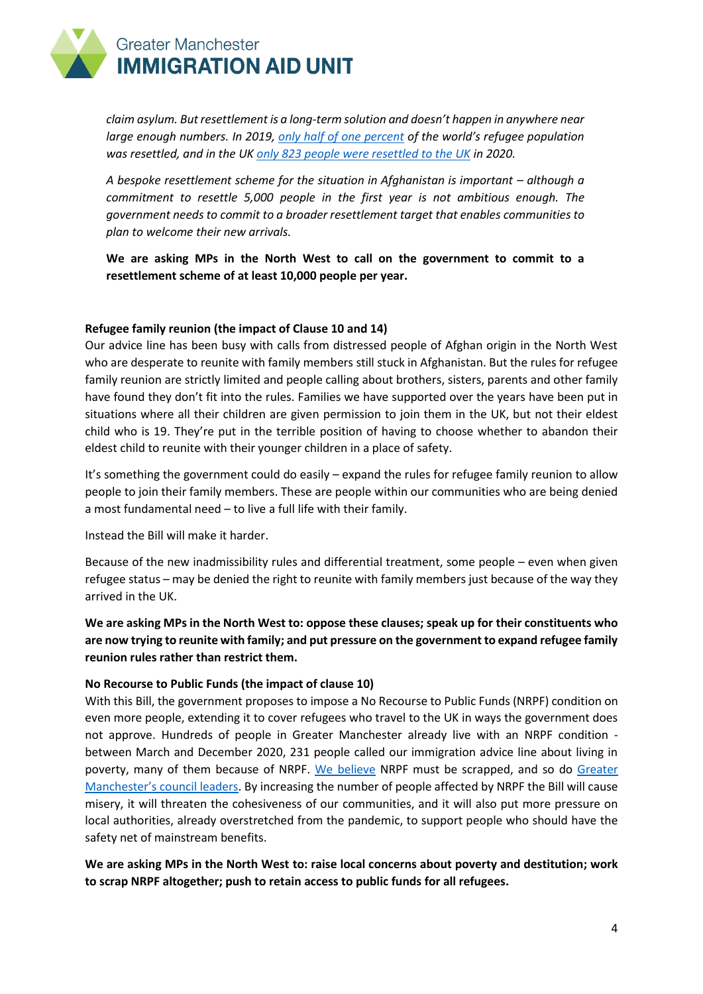

*claim asylum. But resettlement is a long-term solution and doesn't happen in anywhere near large enough numbers. In 2019[, only half of one percent](https://www.amnesty.org/en/what-we-do/refugees-asylum-seekers-and-migrants/global-refugee-crisis-statistics-and-facts/) of the world's refugee population was resettled, and in the UK [only 823 people were resettled to the UK](https://www.refugeecouncil.org.uk/our-work/refugee-resettlement/) in 2020.*

*A bespoke resettlement scheme for the situation in Afghanistan is important – although a commitment to resettle 5,000 people in the first year is not ambitious enough. The government needs to commit to a broader resettlement target that enables communities to plan to welcome their new arrivals.*

**We are asking MPs in the North West to call on the government to commit to a resettlement scheme of at least 10,000 people per year.**

#### **Refugee family reunion (the impact of Clause 10 and 14)**

Our advice line has been busy with calls from distressed people of Afghan origin in the North West who are desperate to reunite with family members still stuck in Afghanistan. But the rules for refugee family reunion are strictly limited and people calling about brothers, sisters, parents and other family have found they don't fit into the rules. Families we have supported over the years have been put in situations where all their children are given permission to join them in the UK, but not their eldest child who is 19. They're put in the terrible position of having to choose whether to abandon their eldest child to reunite with their younger children in a place of safety.

It's something the government could do easily – expand the rules for refugee family reunion to allow people to join their family members. These are people within our communities who are being denied a most fundamental need – to live a full life with their family.

Instead the Bill will make it harder.

Because of the new inadmissibility rules and differential treatment, some people – even when given refugee status – may be denied the right to reunite with family members just because of the way they arrived in the UK.

**We are asking MPs in the North West to: oppose these clauses; speak up for their constituents who are now trying to reunite with family; and put pressure on the government to expand refugee family reunion rules rather than restrict them.**

### **No Recourse to Public Funds (the impact of clause 10)**

With this Bill, the government proposes to impose a No Recourse to Public Funds (NRPF) condition on even more people, extending it to cover refugees who travel to the UK in ways the government does not approve. Hundreds of people in Greater Manchester already live with an NRPF condition between March and December 2020, 231 people called our immigration advice line about living in poverty, many of them because of NRPF. [We believe](https://gmiau.org/the-impact-of-covid-19-on-people-with-a-no-recourse-to-public-funds-condition/) NRPF must be scrapped, and so do Greater [Manchester's council leaders](https://www.greatermanchester-ca.gov.uk/news/greater-manchester-leaders-open-statement-to-the-home-office-on-asylum-seeker-evictions-policy/). By increasing the number of people affected by NRPF the Bill will cause misery, it will threaten the cohesiveness of our communities, and it will also put more pressure on local authorities, already overstretched from the pandemic, to support people who should have the safety net of mainstream benefits.

**We are asking MPs in the North West to: raise local concerns about poverty and destitution; work to scrap NRPF altogether; push to retain access to public funds for all refugees.**